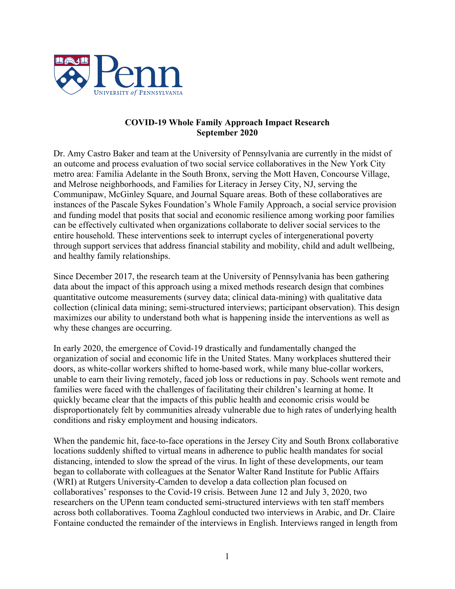

# **COVID-19 Whole Family Approach Impact Research September 2020**

Dr. Amy Castro Baker and team at the University of Pennsylvania are currently in the midst of an outcome and process evaluation of two social service collaboratives in the New York City metro area: Familia Adelante in the South Bronx, serving the Mott Haven, Concourse Village, and Melrose neighborhoods, and Families for Literacy in Jersey City, NJ, serving the Communipaw, McGinley Square, and Journal Square areas. Both of these collaboratives are instances of the Pascale Sykes Foundation's Whole Family Approach, a social service provision and funding model that posits that social and economic resilience among working poor families can be effectively cultivated when organizations collaborate to deliver social services to the entire household. These interventions seek to interrupt cycles of intergenerational poverty through support services that address financial stability and mobility, child and adult wellbeing, and healthy family relationships.

Since December 2017, the research team at the University of Pennsylvania has been gathering data about the impact of this approach using a mixed methods research design that combines quantitative outcome measurements (survey data; clinical data-mining) with qualitative data collection (clinical data mining; semi-structured interviews; participant observation). This design maximizes our ability to understand both what is happening inside the interventions as well as why these changes are occurring.

In early 2020, the emergence of Covid-19 drastically and fundamentally changed the organization of social and economic life in the United States. Many workplaces shuttered their doors, as white-collar workers shifted to home-based work, while many blue-collar workers, unable to earn their living remotely, faced job loss or reductions in pay. Schools went remote and families were faced with the challenges of facilitating their children's learning at home. It quickly became clear that the impacts of this public health and economic crisis would be disproportionately felt by communities already vulnerable due to high rates of underlying health conditions and risky employment and housing indicators.

When the pandemic hit, face-to-face operations in the Jersey City and South Bronx collaborative locations suddenly shifted to virtual means in adherence to public health mandates for social distancing, intended to slow the spread of the virus. In light of these developments, our team began to collaborate with colleagues at the Senator Walter Rand Institute for Public Affairs (WRI) at Rutgers University-Camden to develop a data collection plan focused on collaboratives' responses to the Covid-19 crisis. Between June 12 and July 3, 2020, two researchers on the UPenn team conducted semi-structured interviews with ten staff members across both collaboratives. Tooma Zaghloul conducted two interviews in Arabic, and Dr. Claire Fontaine conducted the remainder of the interviews in English. Interviews ranged in length from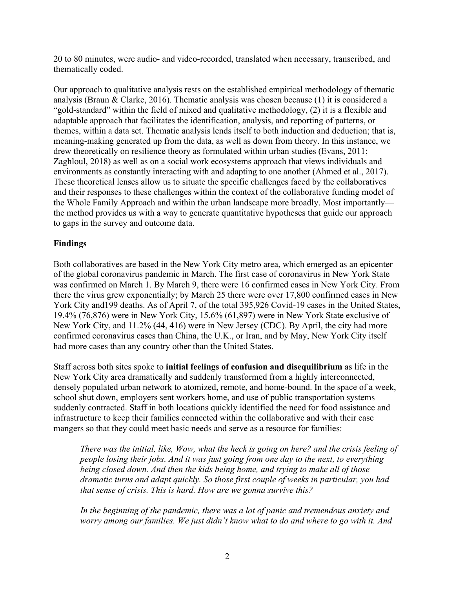20 to 80 minutes, were audio- and video-recorded, translated when necessary, transcribed, and thematically coded.

Our approach to qualitative analysis rests on the established empirical methodology of thematic analysis (Braun & Clarke, 2016). Thematic analysis was chosen because (1) it is considered a "gold-standard" within the field of mixed and qualitative methodology, (2) it is a flexible and adaptable approach that facilitates the identification, analysis, and reporting of patterns, or themes, within a data set. Thematic analysis lends itself to both induction and deduction; that is, meaning-making generated up from the data, as well as down from theory. In this instance, we drew theoretically on resilience theory as formulated within urban studies (Evans, 2011; Zaghloul, 2018) as well as on a social work ecosystems approach that views individuals and environments as constantly interacting with and adapting to one another (Ahmed et al., 2017). These theoretical lenses allow us to situate the specific challenges faced by the collaboratives and their responses to these challenges within the context of the collaborative funding model of the Whole Family Approach and within the urban landscape more broadly. Most importantly the method provides us with a way to generate quantitative hypotheses that guide our approach to gaps in the survey and outcome data.

## **Findings**

Both collaboratives are based in the New York City metro area, which emerged as an epicenter of the global coronavirus pandemic in March. The first case of coronavirus in New York State was confirmed on March 1. By March 9, there were 16 confirmed cases in New York City. From there the virus grew exponentially; by March 25 there were over 17,800 confirmed cases in New York City and199 deaths. As of April 7, of the total 395,926 Covid-19 cases in the United States, 19.4% (76,876) were in New York City, 15.6% (61,897) were in New York State exclusive of New York City, and 11.2% (44, 416) were in New Jersey (CDC). By April, the city had more confirmed coronavirus cases than China, the U.K., or Iran, and by May, New York City itself had more cases than any country other than the United States.

Staff across both sites spoke to **initial feelings of confusion and disequilibrium** as life in the New York City area dramatically and suddenly transformed from a highly interconnected, densely populated urban network to atomized, remote, and home-bound. In the space of a week, school shut down, employers sent workers home, and use of public transportation systems suddenly contracted. Staff in both locations quickly identified the need for food assistance and infrastructure to keep their families connected within the collaborative and with their case mangers so that they could meet basic needs and serve as a resource for families:

*There was the initial, like, Wow, what the heck is going on here? and the crisis feeling of people losing their jobs. And it was just going from one day to the next, to everything being closed down. And then the kids being home, and trying to make all of those dramatic turns and adapt quickly. So those first couple of weeks in particular, you had that sense of crisis. This is hard. How are we gonna survive this?*

*In the beginning of the pandemic, there was a lot of panic and tremendous anxiety and worry among our families. We just didn't know what to do and where to go with it. And*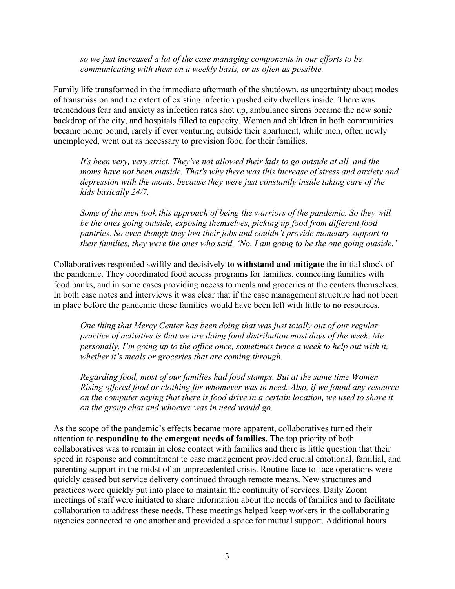*so we just increased a lot of the case managing components in our efforts to be communicating with them on a weekly basis, or as often as possible.*

Family life transformed in the immediate aftermath of the shutdown, as uncertainty about modes of transmission and the extent of existing infection pushed city dwellers inside. There was tremendous fear and anxiety as infection rates shot up, ambulance sirens became the new sonic backdrop of the city, and hospitals filled to capacity. Women and children in both communities became home bound, rarely if ever venturing outside their apartment, while men, often newly unemployed, went out as necessary to provision food for their families.

*It's been very, very strict. They've not allowed their kids to go outside at all, and the moms have not been outside. That's why there was this increase of stress and anxiety and depression with the moms, because they were just constantly inside taking care of the kids basically 24/7.*

*Some of the men took this approach of being the warriors of the pandemic. So they will be the ones going outside, exposing themselves, picking up food from different food pantries. So even though they lost their jobs and couldn't provide monetary support to their families, they were the ones who said, 'No, I am going to be the one going outside.'*

Collaboratives responded swiftly and decisively **to withstand and mitigate** the initial shock of the pandemic. They coordinated food access programs for families, connecting families with food banks, and in some cases providing access to meals and groceries at the centers themselves. In both case notes and interviews it was clear that if the case management structure had not been in place before the pandemic these families would have been left with little to no resources.

*One thing that Mercy Center has been doing that was just totally out of our regular practice of activities is that we are doing food distribution most days of the week. Me personally, I'm going up to the office once, sometimes twice a week to help out with it, whether it's meals or groceries that are coming through.* 

*Regarding food, most of our families had food stamps. But at the same time Women Rising offered food or clothing for whomever was in need. Also, if we found any resource on the computer saying that there is food drive in a certain location, we used to share it on the group chat and whoever was in need would go.*

As the scope of the pandemic's effects became more apparent, collaboratives turned their attention to **responding to the emergent needs of families.** The top priority of both collaboratives was to remain in close contact with families and there is little question that their speed in response and commitment to case management provided crucial emotional, familial, and parenting support in the midst of an unprecedented crisis. Routine face-to-face operations were quickly ceased but service delivery continued through remote means. New structures and practices were quickly put into place to maintain the continuity of services. Daily Zoom meetings of staff were initiated to share information about the needs of families and to facilitate collaboration to address these needs. These meetings helped keep workers in the collaborating agencies connected to one another and provided a space for mutual support. Additional hours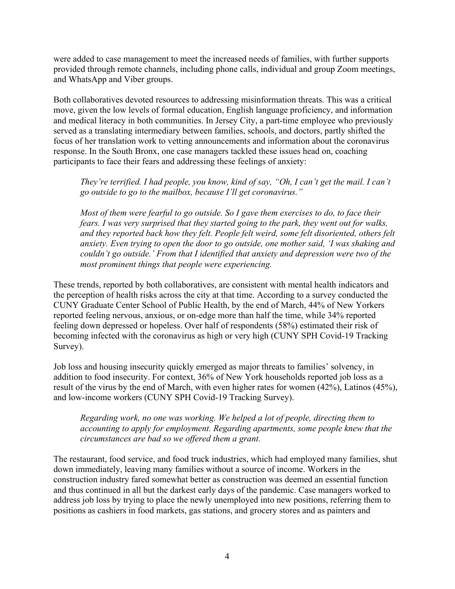were added to case management to meet the increased needs of families, with further supports provided through remote channels, including phone calls, individual and group Zoom meetings, and WhatsApp and Viber groups.

Both collaboratives devoted resources to addressing misinformation threats. This was a critical move, given the low levels of formal education, English language proficiency, and information and medical literacy in both communities. In Jersey City, a part-time employee who previously served as a translating intermediary between families, schools, and doctors, partly shifted the focus of her translation work to vetting announcements and information about the coronavirus response. In the South Bronx, one case managers tackled these issues head on, coaching participants to face their fears and addressing these feelings of anxiety:

*They're terrified. I had people, you know, kind of say, "Oh, I can't get the mail. I can't go outside to go to the mailbox, because I'll get coronavirus."* 

*Most of them were fearful to go outside. So I gave them exercises to do, to face their fears. I was very surprised that they started going to the park, they went out for walks, and they reported back how they felt. People felt weird, some felt disoriented, others felt anxiety. Even trying to open the door to go outside, one mother said, 'I was shaking and couldn't go outside.' From that I identified that anxiety and depression were two of the most prominent things that people were experiencing.*

These trends, reported by both collaboratives, are consistent with mental health indicators and the perception of health risks across the city at that time. According to a survey conducted the CUNY Graduate Center School of Public Health, by the end of March, 44% of New Yorkers reported feeling nervous, anxious, or on-edge more than half the time, while 34% reported feeling down depressed or hopeless. Over half of respondents (58%) estimated their risk of becoming infected with the coronavirus as high or very high (CUNY SPH Covid-19 Tracking Survey).

Job loss and housing insecurity quickly emerged as major threats to families' solvency, in addition to food insecurity. For context, 36% of New York households reported job loss as a result of the virus by the end of March, with even higher rates for women (42%), Latinos (45%), and low-income workers (CUNY SPH Covid-19 Tracking Survey).

*Regarding work, no one was working. We helped a lot of people, directing them to accounting to apply for employment. Regarding apartments, some people knew that the circumstances are bad so we offered them a grant.* 

The restaurant, food service, and food truck industries, which had employed many families, shut down immediately, leaving many families without a source of income. Workers in the construction industry fared somewhat better as construction was deemed an essential function and thus continued in all but the darkest early days of the pandemic. Case managers worked to address job loss by trying to place the newly unemployed into new positions, referring them to positions as cashiers in food markets, gas stations, and grocery stores and as painters and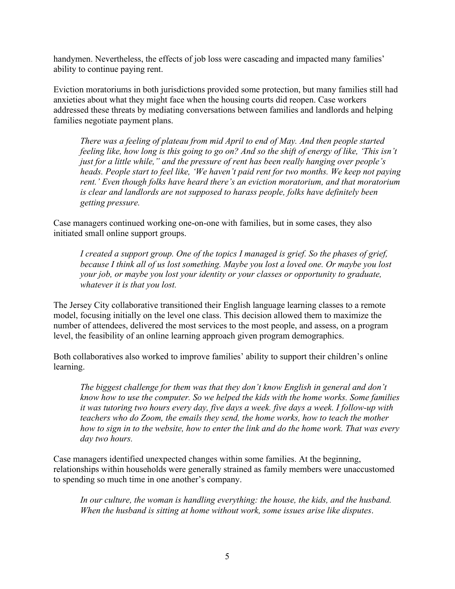handymen. Nevertheless, the effects of job loss were cascading and impacted many families' ability to continue paying rent.

Eviction moratoriums in both jurisdictions provided some protection, but many families still had anxieties about what they might face when the housing courts did reopen. Case workers addressed these threats by mediating conversations between families and landlords and helping families negotiate payment plans.

*There was a feeling of plateau from mid April to end of May. And then people started feeling like, how long is this going to go on? And so the shift of energy of like, 'This isn't just for a little while," and the pressure of rent has been really hanging over people's heads. People start to feel like, 'We haven't paid rent for two months. We keep not paying rent.' Even though folks have heard there's an eviction moratorium, and that moratorium is clear and landlords are not supposed to harass people, folks have definitely been getting pressure.*

Case managers continued working one-on-one with families, but in some cases, they also initiated small online support groups.

*I created a support group. One of the topics I managed is grief. So the phases of grief, because I think all of us lost something. Maybe you lost a loved one. Or maybe you lost your job, or maybe you lost your identity or your classes or opportunity to graduate, whatever it is that you lost.*

The Jersey City collaborative transitioned their English language learning classes to a remote model, focusing initially on the level one class. This decision allowed them to maximize the number of attendees, delivered the most services to the most people, and assess, on a program level, the feasibility of an online learning approach given program demographics.

Both collaboratives also worked to improve families' ability to support their children's online learning.

*The biggest challenge for them was that they don't know English in general and don't know how to use the computer. So we helped the kids with the home works. Some families it was tutoring two hours every day, five days a week. five days a week. I follow-up with teachers who do Zoom, the emails they send, the home works, how to teach the mother how to sign in to the website, how to enter the link and do the home work. That was every day two hours.* 

Case managers identified unexpected changes within some families. At the beginning, relationships within households were generally strained as family members were unaccustomed to spending so much time in one another's company.

In our culture, the woman is handling everything: the house, the kids, and the husband. *When the husband is sitting at home without work, some issues arise like disputes*.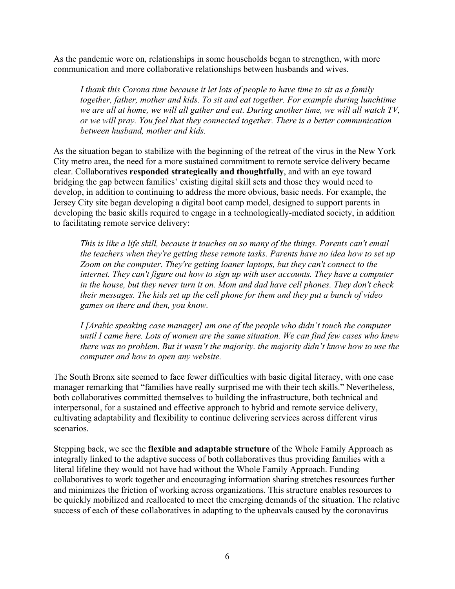As the pandemic wore on, relationships in some households began to strengthen, with more communication and more collaborative relationships between husbands and wives.

*I thank this Corona time because it let lots of people to have time to sit as a family together, father, mother and kids. To sit and eat together. For example during lunchtime we are all at home, we will all gather and eat. During another time, we will all watch TV, or we will pray. You feel that they connected together. There is a better communication between husband, mother and kids.*

As the situation began to stabilize with the beginning of the retreat of the virus in the New York City metro area, the need for a more sustained commitment to remote service delivery became clear. Collaboratives **responded strategically and thoughtfully**, and with an eye toward bridging the gap between families' existing digital skill sets and those they would need to develop, in addition to continuing to address the more obvious, basic needs. For example, the Jersey City site began developing a digital boot camp model, designed to support parents in developing the basic skills required to engage in a technologically-mediated society, in addition to facilitating remote service delivery:

*This is like a life skill, because it touches on so many of the things. Parents can't email the teachers when they're getting these remote tasks. Parents have no idea how to set up Zoom on the computer. They're getting loaner laptops, but they can't connect to the internet. They can't figure out how to sign up with user accounts. They have a computer in the house, but they never turn it on. Mom and dad have cell phones. They don't check their messages. The kids set up the cell phone for them and they put a bunch of video games on there and then, you know.*

*I [Arabic speaking case manager] am one of the people who didn't touch the computer until I came here. Lots of women are the same situation. We can find few cases who knew there was no problem. But it wasn't the majority. the majority didn't know how to use the computer and how to open any website.*

The South Bronx site seemed to face fewer difficulties with basic digital literacy, with one case manager remarking that "families have really surprised me with their tech skills." Nevertheless, both collaboratives committed themselves to building the infrastructure, both technical and interpersonal, for a sustained and effective approach to hybrid and remote service delivery, cultivating adaptability and flexibility to continue delivering services across different virus scenarios.

Stepping back, we see the **flexible and adaptable structure** of the Whole Family Approach as integrally linked to the adaptive success of both collaboratives thus providing families with a literal lifeline they would not have had without the Whole Family Approach. Funding collaboratives to work together and encouraging information sharing stretches resources further and minimizes the friction of working across organizations. This structure enables resources to be quickly mobilized and reallocated to meet the emerging demands of the situation. The relative success of each of these collaboratives in adapting to the upheavals caused by the coronavirus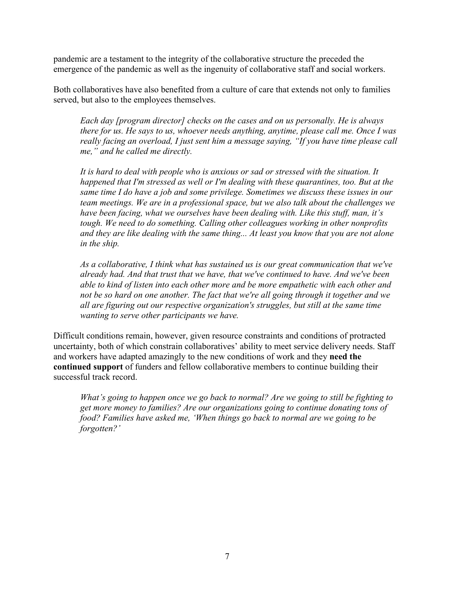pandemic are a testament to the integrity of the collaborative structure the preceded the emergence of the pandemic as well as the ingenuity of collaborative staff and social workers.

Both collaboratives have also benefited from a culture of care that extends not only to families served, but also to the employees themselves.

*Each day [program director] checks on the cases and on us personally. He is always there for us. He says to us, whoever needs anything, anytime, please call me. Once I was really facing an overload, I just sent him a message saying, "If you have time please call me," and he called me directly.*

*It is hard to deal with people who is anxious or sad or stressed with the situation. It happened that I'm stressed as well or I'm dealing with these quarantines, too. But at the same time I do have a job and some privilege. Sometimes we discuss these issues in our team meetings. We are in a professional space, but we also talk about the challenges we have been facing, what we ourselves have been dealing with. Like this stuff, man, it's tough. We need to do something. Calling other colleagues working in other nonprofits and they are like dealing with the same thing... At least you know that you are not alone in the ship.*

*As a collaborative, I think what has sustained us is our great communication that we've already had. And that trust that we have, that we've continued to have. And we've been able to kind of listen into each other more and be more empathetic with each other and not be so hard on one another. The fact that we're all going through it together and we all are figuring out our respective organization's struggles, but still at the same time wanting to serve other participants we have.*

Difficult conditions remain, however, given resource constraints and conditions of protracted uncertainty, both of which constrain collaboratives' ability to meet service delivery needs. Staff and workers have adapted amazingly to the new conditions of work and they **need the continued support** of funders and fellow collaborative members to continue building their successful track record.

*What's going to happen once we go back to normal? Are we going to still be fighting to get more money to families? Are our organizations going to continue donating tons of food? Families have asked me, 'When things go back to normal are we going to be forgotten?'*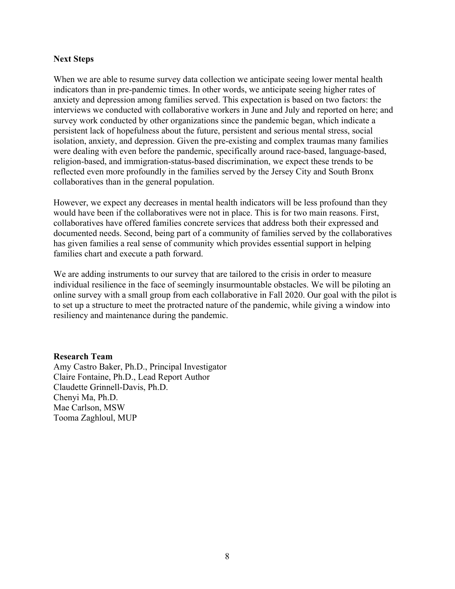### **Next Steps**

When we are able to resume survey data collection we anticipate seeing lower mental health indicators than in pre-pandemic times. In other words, we anticipate seeing higher rates of anxiety and depression among families served. This expectation is based on two factors: the interviews we conducted with collaborative workers in June and July and reported on here; and survey work conducted by other organizations since the pandemic began, which indicate a persistent lack of hopefulness about the future, persistent and serious mental stress, social isolation, anxiety, and depression. Given the pre-existing and complex traumas many families were dealing with even before the pandemic, specifically around race-based, language-based, religion-based, and immigration-status-based discrimination, we expect these trends to be reflected even more profoundly in the families served by the Jersey City and South Bronx collaboratives than in the general population.

However, we expect any decreases in mental health indicators will be less profound than they would have been if the collaboratives were not in place. This is for two main reasons. First, collaboratives have offered families concrete services that address both their expressed and documented needs. Second, being part of a community of families served by the collaboratives has given families a real sense of community which provides essential support in helping families chart and execute a path forward.

We are adding instruments to our survey that are tailored to the crisis in order to measure individual resilience in the face of seemingly insurmountable obstacles. We will be piloting an online survey with a small group from each collaborative in Fall 2020. Our goal with the pilot is to set up a structure to meet the protracted nature of the pandemic, while giving a window into resiliency and maintenance during the pandemic.

#### **Research Team**

Amy Castro Baker, Ph.D., Principal Investigator Claire Fontaine, Ph.D., Lead Report Author Claudette Grinnell-Davis, Ph.D. Chenyi Ma, Ph.D. Mae Carlson, MSW Tooma Zaghloul, MUP